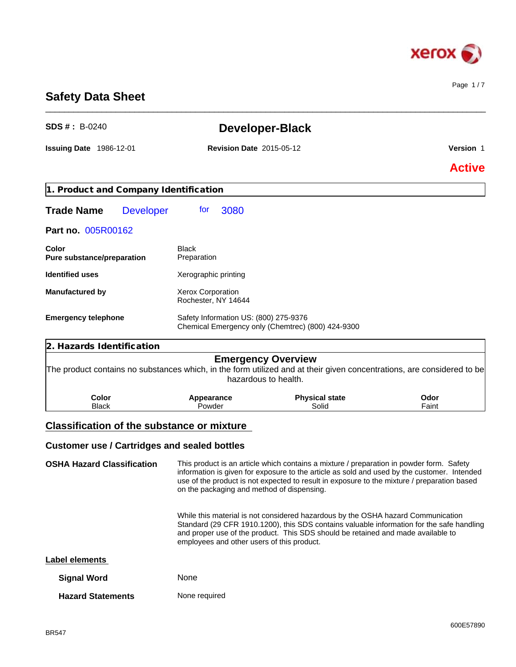

Page 1 / 7

# **Safety Data Sheet**

| <b>SDS #</b> : $B-0240$                                                                                                |                                                 | <b>Developer-Black</b>                                                                                                                                                                  |                      |  |
|------------------------------------------------------------------------------------------------------------------------|-------------------------------------------------|-----------------------------------------------------------------------------------------------------------------------------------------------------------------------------------------|----------------------|--|
| <b>Issuing Date 1986-12-01</b>                                                                                         | <b>Revision Date 2015-05-12</b>                 |                                                                                                                                                                                         | Version 1            |  |
|                                                                                                                        |                                                 |                                                                                                                                                                                         | <b>Active</b>        |  |
| 1. Product and Company Identification                                                                                  |                                                 |                                                                                                                                                                                         |                      |  |
| <b>Trade Name</b><br><b>Developer</b>                                                                                  | 3080<br>for                                     |                                                                                                                                                                                         |                      |  |
| Part no. 005R00162                                                                                                     |                                                 |                                                                                                                                                                                         |                      |  |
| Color<br>Pure substance/preparation                                                                                    | Black<br>Preparation                            |                                                                                                                                                                                         |                      |  |
| <b>Identified uses</b>                                                                                                 | Xerographic printing                            |                                                                                                                                                                                         |                      |  |
| <b>Manufactured by</b>                                                                                                 | <b>Xerox Corporation</b><br>Rochester, NY 14644 |                                                                                                                                                                                         |                      |  |
| <b>Emergency telephone</b>                                                                                             | Safety Information US: (800) 275-9376           | Chemical Emergency only (Chemtrec) (800) 424-9300                                                                                                                                       |                      |  |
| 2. Hazards Identification                                                                                              |                                                 |                                                                                                                                                                                         |                      |  |
| The product contains no substances which, in the form utilized and at their given concentrations, are considered to be |                                                 | <b>Emergency Overview</b><br>hazardous to health.                                                                                                                                       |                      |  |
| Color<br><b>Black</b>                                                                                                  | Appearance<br>Powder                            | <b>Physical state</b><br>Solid                                                                                                                                                          | <b>Odor</b><br>Faint |  |
| <b>Classification of the substance or mixture</b>                                                                      |                                                 |                                                                                                                                                                                         |                      |  |
| <b>Customer use / Cartridges and sealed bottles</b>                                                                    |                                                 |                                                                                                                                                                                         |                      |  |
| <b>OSHA Hazard Classification</b>                                                                                      |                                                 | This product is an article which contains a mixture / preparation in powder form. Safety<br>information is given for exposure to the article as sold and used by the customer. Intended |                      |  |

\_\_\_\_\_\_\_\_\_\_\_\_\_\_\_\_\_\_\_\_\_\_\_\_\_\_\_\_\_\_\_\_\_\_\_\_\_\_\_\_\_\_\_\_\_\_\_\_\_\_\_\_\_\_\_\_\_\_\_\_\_\_\_\_\_\_\_\_\_\_\_\_\_\_\_\_\_\_\_\_\_\_\_\_\_\_\_\_\_\_\_\_\_\_

information is given for exposure to the article as sold and used by the customer. Intended use of the product is not expected to result in exposure to the mixture / preparation based on the packaging and method of dispensing.

> While this material is not considered hazardous by the OSHA hazard Communication Standard (29 CFR 1910.1200), this SDS contains valuable information for the safe handling and proper use of the product. This SDS should be retained and made available to employees and other users of this product.

### **Label elements**

| <b>Signal Word</b>       | <b>None</b>   |
|--------------------------|---------------|
| <b>Hazard Statements</b> | None required |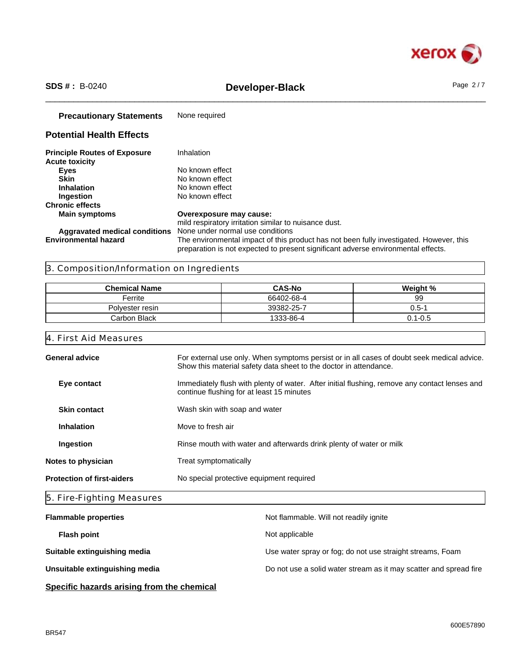

# \_\_\_\_\_\_\_\_\_\_\_\_\_\_\_\_\_\_\_\_\_\_\_\_\_\_\_\_\_\_\_\_\_\_\_\_\_\_\_\_\_\_\_\_\_\_\_\_\_\_\_\_\_\_\_\_\_\_\_\_\_\_\_\_\_\_\_\_\_\_\_\_\_\_\_\_\_\_\_\_\_\_\_\_\_\_\_\_\_\_\_\_\_\_ **SDS # :** B-0240 **Developer-Black** Page 2 / 7

| <b>Precautionary Statements</b>                              | None required                                                                                                                                                                |
|--------------------------------------------------------------|------------------------------------------------------------------------------------------------------------------------------------------------------------------------------|
| <b>Potential Health Effects</b>                              |                                                                                                                                                                              |
| <b>Principle Routes of Exposure</b><br><b>Acute toxicity</b> | Inhalation                                                                                                                                                                   |
| Eyes                                                         | No known effect                                                                                                                                                              |
| <b>Skin</b>                                                  | No known effect                                                                                                                                                              |
| <b>Inhalation</b>                                            | No known effect                                                                                                                                                              |
| Ingestion                                                    | No known effect                                                                                                                                                              |
| <b>Chronic effects</b>                                       |                                                                                                                                                                              |
| <b>Main symptoms</b>                                         | Overexposure may cause:                                                                                                                                                      |
|                                                              | mild respiratory irritation similar to nuisance dust.                                                                                                                        |
| Aggravated medical conditions                                | None under normal use conditions                                                                                                                                             |
| <b>Environmental hazard</b>                                  | The environmental impact of this product has not been fully investigated. However, this<br>preparation is not expected to present significant adverse environmental effects. |

## 3. Composition/Information on Ingredients

| <b>Chemical Name</b> | <b>CAS-No</b> | Weight %    |
|----------------------|---------------|-------------|
| Ferrite              | 66402-68-4    | 99          |
| Polvester resin      | 39382-25-7    | 0.5-1       |
| Carbon Black         | 1333-86-4     | $0.1 - 0.5$ |

### 4. First Aid Measures

| <b>General advice</b>             | For external use only. When symptoms persist or in all cases of doubt seek medical advice.                                                 |
|-----------------------------------|--------------------------------------------------------------------------------------------------------------------------------------------|
|                                   | Show this material safety data sheet to the doctor in attendance.                                                                          |
| Eye contact                       | Immediately flush with plenty of water. After initial flushing, remove any contact lenses and<br>continue flushing for at least 15 minutes |
| <b>Skin contact</b>               | Wash skin with soap and water                                                                                                              |
| <b>Inhalation</b>                 | Move to fresh air                                                                                                                          |
| Ingestion                         | Rinse mouth with water and afterwards drink plenty of water or milk                                                                        |
| Notes to physician                | Treat symptomatically                                                                                                                      |
| <b>Protection of first-aiders</b> | No special protective equipment required                                                                                                   |
|                                   |                                                                                                                                            |

# 5. Fire-Fighting Measures

| <b>Flammable properties</b>    | Not flammable. Will not readily ignite                            |
|--------------------------------|-------------------------------------------------------------------|
| <b>Flash point</b>             | Not applicable                                                    |
| Suitable extinguishing media   | Use water spray or fog; do not use straight streams, Foam         |
| Unsuitable extinguishing media | Do not use a solid water stream as it may scatter and spread fire |
|                                |                                                                   |

**Specific hazards arising from the chemical**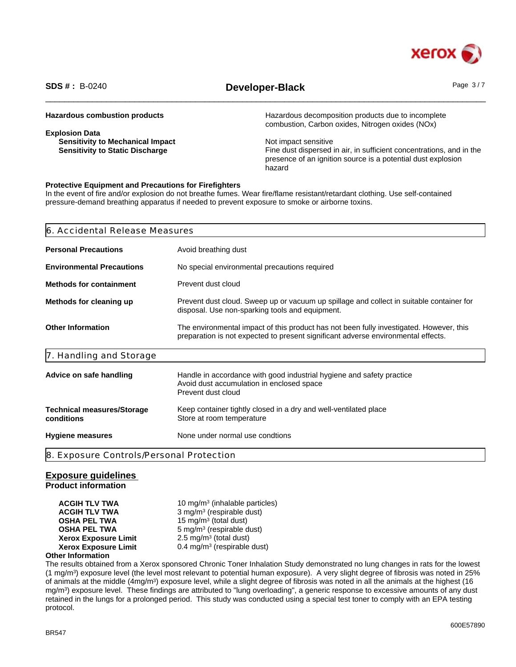

# \_\_\_\_\_\_\_\_\_\_\_\_\_\_\_\_\_\_\_\_\_\_\_\_\_\_\_\_\_\_\_\_\_\_\_\_\_\_\_\_\_\_\_\_\_\_\_\_\_\_\_\_\_\_\_\_\_\_\_\_\_\_\_\_\_\_\_\_\_\_\_\_\_\_\_\_\_\_\_\_\_\_\_\_\_\_\_\_\_\_\_\_\_\_ **SDS # :** B-0240 **Developer-Black** Page 3 / 7

| <b>Hazardous combustion products</b>    | Hazardous decomposition products due to incomplete<br>combustion, Carbon oxides, Nitrogen oxides (NOx) |
|-----------------------------------------|--------------------------------------------------------------------------------------------------------|
| <b>Explosion Data</b>                   |                                                                                                        |
| <b>Sensitivity to Mechanical Impact</b> | Not impact sensitive                                                                                   |
| <b>Sensitivity to Static Discharge</b>  | Fine dust dispersed in air, in sufficient concentrations, and in the                                   |
|                                         | presence of an ignition source is a potential dust explosion                                           |
|                                         | hazard                                                                                                 |

### **Protective Equipment and Precautions for Firefighters**

In the event of fire and/or explosion do not breathe fumes. Wear fire/flame resistant/retardant clothing. Use self-contained pressure-demand breathing apparatus if needed to prevent exposure to smoke or airborne toxins.

| <b>Personal Precautions</b><br>Avoid breathing dust<br><b>Environmental Precautions</b><br>No special environmental precautions required<br>Prevent dust cloud<br>Prevent dust cloud. Sweep up or vacuum up spillage and collect in suitable container for |
|------------------------------------------------------------------------------------------------------------------------------------------------------------------------------------------------------------------------------------------------------------|
| <b>Methods for containment</b><br>Methods for cleaning up                                                                                                                                                                                                  |
|                                                                                                                                                                                                                                                            |
|                                                                                                                                                                                                                                                            |
| disposal. Use non-sparking tools and equipment.                                                                                                                                                                                                            |
| <b>Other Information</b><br>The environmental impact of this product has not been fully investigated. However, this<br>preparation is not expected to present significant adverse environmental effects.                                                   |
| 7. Handling and Storage                                                                                                                                                                                                                                    |
| Handle in accordance with good industrial hygiene and safety practice<br>Advice on safe handling<br>Avoid dust accumulation in enclosed space<br>Prevent dust cloud                                                                                        |
| Keep container tightly closed in a dry and well-ventilated place<br><b>Technical measures/Storage</b><br>conditions<br>Store at room temperature                                                                                                           |
| None under normal use condtions<br><b>Hygiene measures</b>                                                                                                                                                                                                 |
| 8. Exposure Controls/Personal Protection                                                                                                                                                                                                                   |

### **Exposure guidelines**

**Product information**

**ACGIH TLV TWA** 10 mg/m<sup>3</sup> (inhalable particles) **ACGIH TLV TWA** 3 mg/m<sup>3</sup> (respirable dust) **OSHA PEL TWA** 15 mg/m<sup>3</sup> (total dust) **OSHA PEL TWA** 5 mg/m<sup>3</sup> (respirable dust) **Xerox Exposure Limit**  $2.5 \text{ mg/m}^3$  (total dust) **Xerox Exposure Limit** 0.4 mg/m<sup>3</sup> (respirable dust)

### **Other Information**

The results obtained from a Xerox sponsored Chronic Toner Inhalation Study demonstrated no lung changes in rats for the lowest (1 mg/m<sup>3</sup> ) exposure level (the level most relevant to potential human exposure). A very slight degree of fibrosis was noted in 25% of animals at the middle (4mg/m<sup>3</sup>) exposure level, while a slight degree of fibrosis was noted in all the animals at the highest (16 mg/m<sup>3</sup> ) exposure level. These findings are attributed to "lung overloading", a generic response to excessive amounts of any dust retained in the lungs for a prolonged period. This study was conducted using a special test toner to comply with an EPA testing protocol.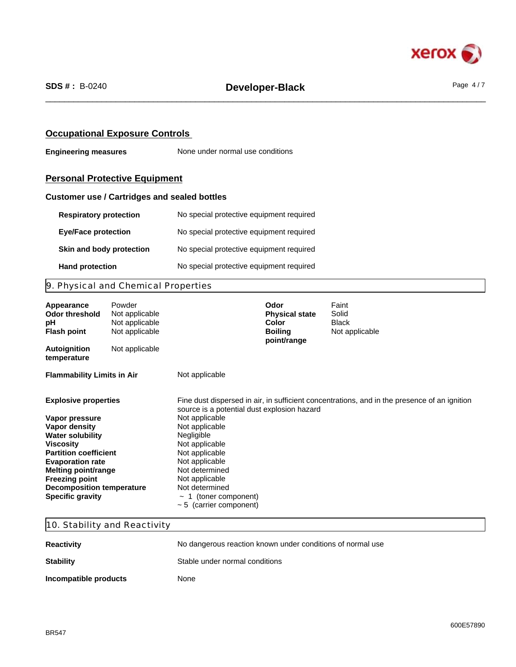

### **Occupational Exposure Controls**

**Engineering measures** None under normal use conditions

# **Personal Protective Equipment**

### **Customer use / Cartridges and sealed bottles**

| <b>Respiratory protection</b> | No special protective equipment required |
|-------------------------------|------------------------------------------|
| <b>Eye/Face protection</b>    | No special protective equipment required |
| Skin and body protection      | No special protective equipment required |
| <b>Hand protection</b>        | No special protective equipment required |

# 9. Physical and Chemical Properties

| Appearance<br><b>Odor threshold</b><br>рH<br><b>Flash point</b> | Powder<br>Not applicable<br>Not applicable<br>Not applicable |                                              | Odor<br><b>Physical state</b><br>Color<br><b>Boiling</b><br>point/range | Faint<br>Solid<br><b>Black</b><br>Not applicable                                             |
|-----------------------------------------------------------------|--------------------------------------------------------------|----------------------------------------------|-------------------------------------------------------------------------|----------------------------------------------------------------------------------------------|
| <b>Autoignition</b><br>temperature                              | Not applicable                                               |                                              |                                                                         |                                                                                              |
| <b>Flammability Limits in Air</b>                               |                                                              | Not applicable                               |                                                                         |                                                                                              |
| <b>Explosive properties</b>                                     |                                                              | source is a potential dust explosion hazard  |                                                                         | Fine dust dispersed in air, in sufficient concentrations, and in the presence of an ignition |
| Vapor pressure                                                  |                                                              | Not applicable                               |                                                                         |                                                                                              |
| Vapor density                                                   |                                                              | Not applicable                               |                                                                         |                                                                                              |
| <b>Water solubility</b>                                         |                                                              | Negligible                                   |                                                                         |                                                                                              |
| <b>Viscosity</b><br><b>Partition coefficient</b>                |                                                              | Not applicable<br>Not applicable             |                                                                         |                                                                                              |
| <b>Evaporation rate</b>                                         |                                                              | Not applicable                               |                                                                         |                                                                                              |
| Melting point/range                                             |                                                              | Not determined                               |                                                                         |                                                                                              |
| <b>Freezing point</b>                                           |                                                              | Not applicable                               |                                                                         |                                                                                              |
| <b>Decomposition temperature</b>                                |                                                              | Not determined                               |                                                                         |                                                                                              |
| <b>Specific gravity</b>                                         |                                                              | 1 (toner component)<br>$\tilde{\phantom{a}}$ |                                                                         |                                                                                              |
|                                                                 |                                                              | $\sim$ 5 (carrier component)                 |                                                                         |                                                                                              |

### 10. Stability and Reactivity

| <b>Reactivity</b>     | No dangerous reaction known under conditions of normal use |
|-----------------------|------------------------------------------------------------|
| <b>Stability</b>      | Stable under normal conditions                             |
| Incompatible products | None                                                       |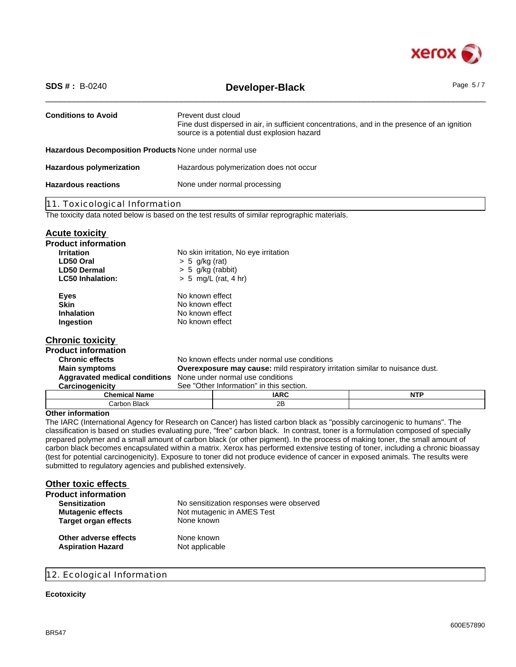

| <b>SDS #</b> : $B-0240$                                | Page 5/7<br><b>Developer-Black</b>                                                                                                                                |                                                                                               |            |
|--------------------------------------------------------|-------------------------------------------------------------------------------------------------------------------------------------------------------------------|-----------------------------------------------------------------------------------------------|------------|
| <b>Conditions to Avoid</b>                             | Prevent dust cloud<br>Fine dust dispersed in air, in sufficient concentrations, and in the presence of an ignition<br>source is a potential dust explosion hazard |                                                                                               |            |
| Hazardous Decomposition Products None under normal use |                                                                                                                                                                   |                                                                                               |            |
| <b>Hazardous polymerization</b>                        | Hazardous polymerization does not occur                                                                                                                           |                                                                                               |            |
| <b>Hazardous reactions</b>                             | None under normal processing                                                                                                                                      |                                                                                               |            |
| 11. Toxicological Information                          |                                                                                                                                                                   |                                                                                               |            |
|                                                        |                                                                                                                                                                   | The toxicity data noted below is based on the test results of similar reprographic materials. |            |
| <b>Acute toxicity</b>                                  |                                                                                                                                                                   |                                                                                               |            |
| <b>Product information</b>                             |                                                                                                                                                                   |                                                                                               |            |
| <b>Irritation</b>                                      |                                                                                                                                                                   | No skin irritation, No eye irritation                                                         |            |
| LD50 Oral                                              | $> 5$ g/kg (rat)                                                                                                                                                  |                                                                                               |            |
| <b>LD50 Dermal</b>                                     | $> 5$ g/kg (rabbit)                                                                                                                                               |                                                                                               |            |
| <b>LC50 Inhalation:</b>                                | $> 5$ mg/L (rat, 4 hr)                                                                                                                                            |                                                                                               |            |
| <b>Eyes</b>                                            | No known effect                                                                                                                                                   |                                                                                               |            |
| <b>Skin</b>                                            | No known effect                                                                                                                                                   |                                                                                               |            |
| Inhalation                                             | No known effect                                                                                                                                                   |                                                                                               |            |
| Ingestion                                              | No known effect                                                                                                                                                   |                                                                                               |            |
| <b>Chronic toxicity</b>                                |                                                                                                                                                                   |                                                                                               |            |
| <b>Product information</b>                             |                                                                                                                                                                   |                                                                                               |            |
| <b>Chronic effects</b>                                 |                                                                                                                                                                   | No known effects under normal use conditions                                                  |            |
| <b>Main symptoms</b>                                   |                                                                                                                                                                   | <b>Overexposure may cause:</b> mild respiratory irritation similar to nuisance dust.          |            |
| <b>Aggravated medical conditions</b>                   | None under normal use conditions                                                                                                                                  |                                                                                               |            |
| Carcinogenicity                                        | See "Other Information" in this section.                                                                                                                          |                                                                                               |            |
| <b>Chemical Name</b>                                   |                                                                                                                                                                   | <b>IARC</b>                                                                                   | <b>NTP</b> |
| Carbon Black                                           | 2B                                                                                                                                                                |                                                                                               |            |
| <b>Other information</b>                               |                                                                                                                                                                   |                                                                                               |            |

The IARC (International Agency for Research on Cancer) has listed carbon black as "possibly carcinogenic to humans". The classification is based on studies evaluating pure, "free" carbon black. In contrast, toner is a formulation composed of specially prepared polymer and a small amount of carbon black (or other pigment). In the process of making toner, the small amount of carbon black becomes encapsulated within a matrix. Xerox has performed extensive testing of toner, including a chronic bioassay (test for potential carcinogenicity). Exposure to toner did not produce evidence of cancer in exposed animals. The results were submitted to regulatory agencies and published extensively.

| <b>Other toxic effects</b>  |                                          |
|-----------------------------|------------------------------------------|
| <b>Product information</b>  |                                          |
| <b>Sensitization</b>        | No sensitization responses were observed |
| <b>Mutagenic effects</b>    | Not mutagenic in AMES Test               |
| <b>Target organ effects</b> | None known                               |
| Other adverse effects       | None known                               |
| <b>Aspiration Hazard</b>    | Not applicable                           |

### 12. Ecological Information

### **Ecotoxicity**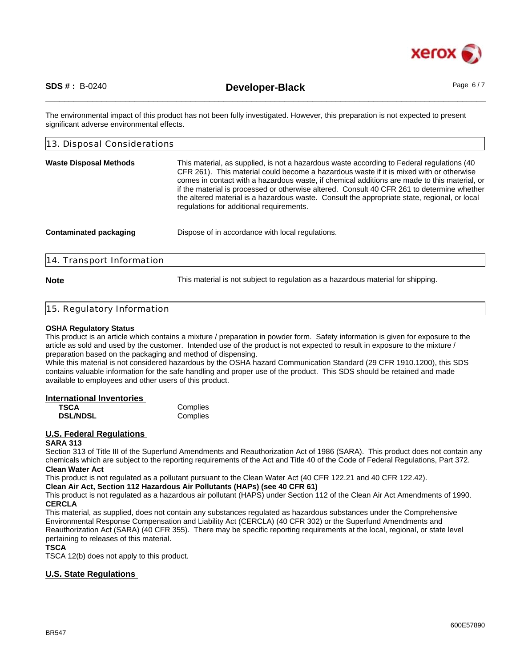

\_\_\_\_\_\_\_\_\_\_\_\_\_\_\_\_\_\_\_\_\_\_\_\_\_\_\_\_\_\_\_\_\_\_\_\_\_\_\_\_\_\_\_\_\_\_\_\_\_\_\_\_\_\_\_\_\_\_\_\_\_\_\_\_\_\_\_\_\_\_\_\_\_\_\_\_\_\_\_\_\_\_\_\_\_\_\_\_\_\_\_\_\_\_ **SDS # :** B-0240 **Developer-Black** Page 6 / 7

The environmental impact of this product has not been fully investigated. However, this preparation is not expected to present significant adverse environmental effects.

| 13. Disposal Considerations   |                                                                                                                                                                                                                                                                                                                                                                                                                                                                                                                                |  |
|-------------------------------|--------------------------------------------------------------------------------------------------------------------------------------------------------------------------------------------------------------------------------------------------------------------------------------------------------------------------------------------------------------------------------------------------------------------------------------------------------------------------------------------------------------------------------|--|
| <b>Waste Disposal Methods</b> | This material, as supplied, is not a hazardous waste according to Federal regulations (40<br>CFR 261). This material could become a hazardous waste if it is mixed with or otherwise<br>comes in contact with a hazardous waste, if chemical additions are made to this material, or<br>if the material is processed or otherwise altered. Consult 40 CFR 261 to determine whether<br>the altered material is a hazardous waste. Consult the appropriate state, regional, or local<br>regulations for additional requirements. |  |
| <b>Contaminated packaging</b> | Dispose of in accordance with local regulations.                                                                                                                                                                                                                                                                                                                                                                                                                                                                               |  |
| 14. Transport Information     |                                                                                                                                                                                                                                                                                                                                                                                                                                                                                                                                |  |

**Note** This material is not subject to regulation as a hazardous material for shipping.

### 15. Regulatory Information

### **OSHA Regulatory Status**

This product is an article which contains a mixture / preparation in powder form. Safety information is given for exposure to the article as sold and used by the customer. Intended use of the product is not expected to result in exposure to the mixture / preparation based on the packaging and method of dispensing.

While this material is not considered hazardous by the OSHA hazard Communication Standard (29 CFR 1910.1200), this SDS contains valuable information for the safe handling and proper use of the product. This SDS should be retained and made available to employees and other users of this product.

### **International Inventories**

| <b>TSCA</b>     | Complies |
|-----------------|----------|
| <b>DSL/NDSL</b> | Complies |

### **U.S. Federal Regulations**

### **SARA 313**

Section 313 of Title III of the Superfund Amendments and Reauthorization Act of 1986 (SARA). This product does not contain any chemicals which are subject to the reporting requirements of the Act and Title 40 of the Code of Federal Regulations, Part 372. **Clean Water Act**

This product is not regulated as a pollutant pursuant to the Clean Water Act (40 CFR 122.21 and 40 CFR 122.42).

**Clean Air Act, Section 112 Hazardous Air Pollutants (HAPs) (see 40 CFR 61)**

This product is not regulated as a hazardous air pollutant (HAPS) under Section 112 of the Clean Air Act Amendments of 1990. **CERCLA**

This material, as supplied, does not contain any substances regulated as hazardous substances under the Comprehensive Environmental Response Compensation and Liability Act (CERCLA) (40 CFR 302) or the Superfund Amendments and Reauthorization Act (SARA) (40 CFR 355). There may be specific reporting requirements at the local, regional, or state level pertaining to releases of this material.

### **TSCA**

TSCA 12(b) does not apply to this product.

### **U.S. State Regulations**